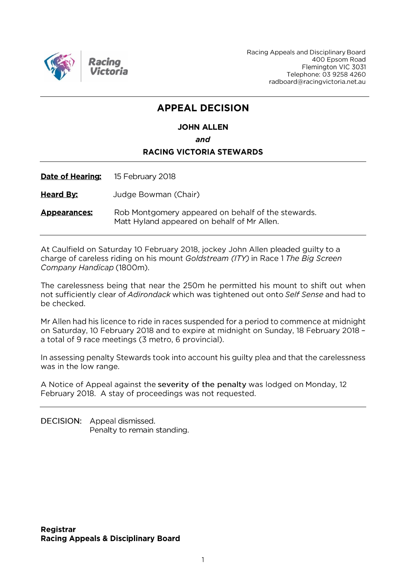

Racing Appeals and Disciplinary Board 400 Epsom Road Flemington VIC 3031 Telephone: 03 9258 4260 radboard@racingvictoria.net.au

## **APPEAL DECISION**

#### **JOHN ALLEN** and

### **RACING VICTORIA STEWARDS**

**Date of Hearing:** 15 February 2018

**Heard By:** Judge Bowman (Chair)

Rob Montgomery appeared on behalf of the stewards. **Appearances:** Matt Hyland appeared on behalf of Mr Allen.

At Caulfield on Saturday 10 February 2018, jockey John Allen pleaded guilty to a charge of careless riding on his mount Goldstream (ITY) in Race 1 The Big Screen Company Handicap (1800m).

The carelessness being that near the 250m he permitted his mount to shift out when not sufficiently clear of Adirondack which was tightened out onto Self Sense and had to be checked.

Mr Allen had his licence to ride in races suspended for a period to commence at midnight on Saturday, 10 February 2018 and to expire at midnight on Sunday, 18 February 2018 a total of 9 race meetings (3 metro, 6 provincial).

In assessing penalty Stewards took into account his guilty plea and that the carelessness was in the low range.

A Notice of Appeal against the severity of the penalty was lodged on Monday, 12 February 2018. A stay of proceedings was not requested.

DECISION: Appeal dismissed. Penalty to remain standing.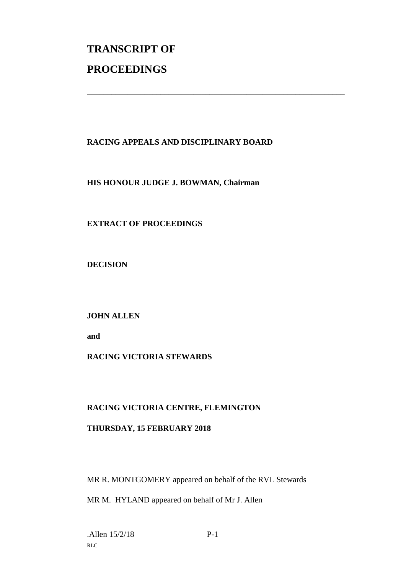# **TRANSCRIPT OF PROCEEDINGS**

#### **RACING APPEALS AND DISCIPLINARY BOARD**

\_\_\_\_\_\_\_\_\_\_\_\_\_\_\_\_\_\_\_\_\_\_\_\_\_\_\_\_\_\_\_\_\_\_\_\_\_\_\_\_\_\_\_\_\_\_\_\_\_\_\_\_\_\_\_\_\_\_\_\_\_\_\_

#### **HIS HONOUR JUDGE J. BOWMAN, Chairman**

#### **EXTRACT OF PROCEEDINGS**

**DECISION**

#### **JOHN ALLEN**

**and**

#### **RACING VICTORIA STEWARDS**

#### **RACING VICTORIA CENTRE, FLEMINGTON**

#### **THURSDAY, 15 FEBRUARY 2018**

MR R. MONTGOMERY appeared on behalf of the RVL Stewards

MR M. HYLAND appeared on behalf of Mr J. Allen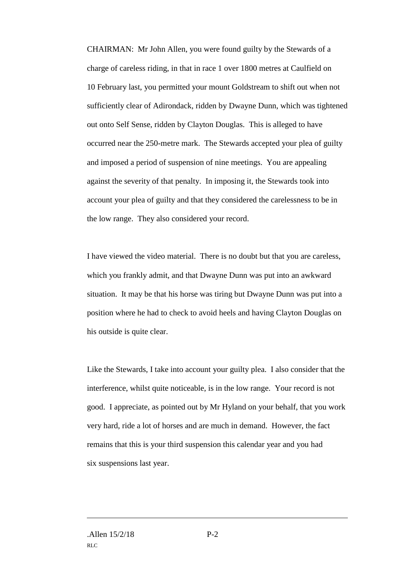CHAIRMAN: Mr John Allen, you were found guilty by the Stewards of a charge of careless riding, in that in race 1 over 1800 metres at Caulfield on 10 February last, you permitted your mount Goldstream to shift out when not sufficiently clear of Adirondack, ridden by Dwayne Dunn, which was tightened out onto Self Sense, ridden by Clayton Douglas. This is alleged to have occurred near the 250-metre mark. The Stewards accepted your plea of guilty and imposed a period of suspension of nine meetings. You are appealing against the severity of that penalty. In imposing it, the Stewards took into account your plea of guilty and that they considered the carelessness to be in the low range. They also considered your record.

I have viewed the video material. There is no doubt but that you are careless, which you frankly admit, and that Dwayne Dunn was put into an awkward situation. It may be that his horse was tiring but Dwayne Dunn was put into a position where he had to check to avoid heels and having Clayton Douglas on his outside is quite clear.

Like the Stewards, I take into account your guilty plea. I also consider that the interference, whilst quite noticeable, is in the low range. Your record is not good. I appreciate, as pointed out by Mr Hyland on your behalf, that you work very hard, ride a lot of horses and are much in demand. However, the fact remains that this is your third suspension this calendar year and you had six suspensions last year.